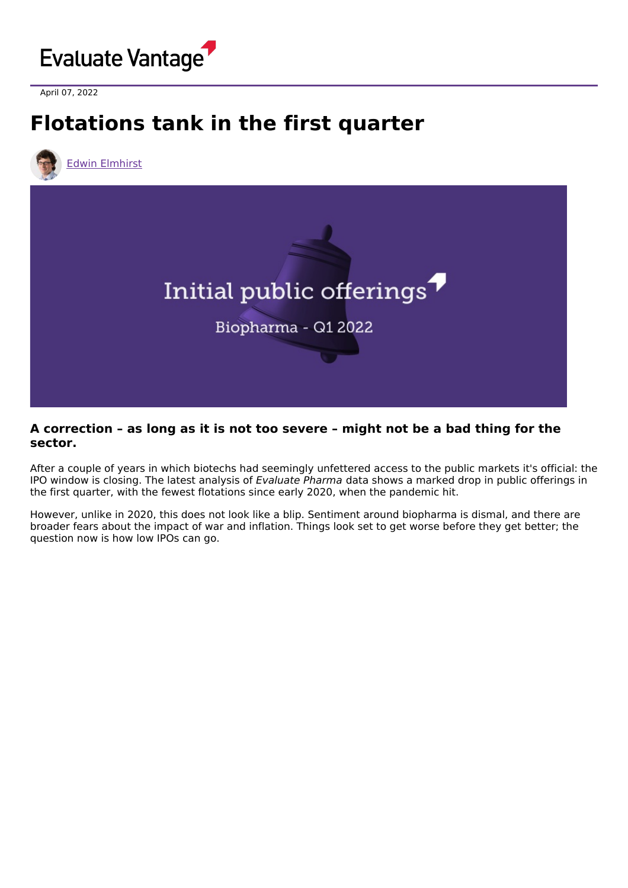

April 07, 2022

# **Flotations tank in the first quarter**





#### **A correction – as long as it is not too severe – might not be a bad thing for the sector.**

After a couple of years in which biotechs had seemingly unfettered access to the public markets it's official: the IPO window is closing. The latest analysis of Evaluate Pharma data shows a marked drop in public offerings in the first quarter, with the fewest flotations since early 2020, when the pandemic hit.

However, unlike in 2020, this does not look like a blip. Sentiment around biopharma is dismal, and there are broader fears about the impact of war and inflation. Things look set to get worse before they get better; the question now is how low IPOs can go.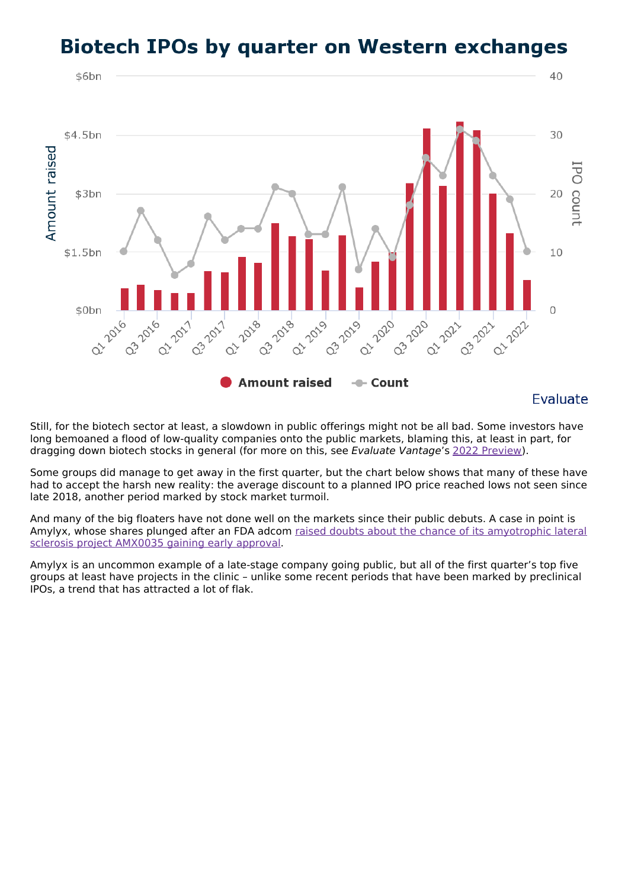## **Biotech IPOs by quarter on Western exchanges**



Still, for the biotech sector at least, a slowdown in public offerings might not be all bad. Some investors have long bemoaned a flood of low-quality companies onto the public markets, blaming this, at least in part, for dragging down biotech stocks in general (for more on this, see Evaluate Vantage's 2022 [Preview](https://www.evaluate.com/thought-leadership/vantage/investor-interviews-evaluate-vantage-2022-preview)).

Some groups did manage to get away in the first quarter, but the chart below shows that many of these have had to accept the harsh new reality: the average discount to a planned IPO price reached lows not seen since late 2018, another period marked by stock market turmoil.

And many of the big floaters have not done well on the markets since their public debuts. A case in point is Amylyx, whose shares plunged after an FDA adcom raised doubts about the chance of its [amyotrophic](https://www.evaluate.com/vantage/articles/news/policy-and-regulation-snippets/amylyxs-chances-rest-knife-edge) lateral sclerosis project AMX0035 gaining early approval.

Amylyx is an uncommon example of a late-stage company going public, but all of the first quarter's top five groups at least have projects in the clinic – unlike some recent periods that have been marked by preclinical IPOs, a trend that has attracted a lot of flak.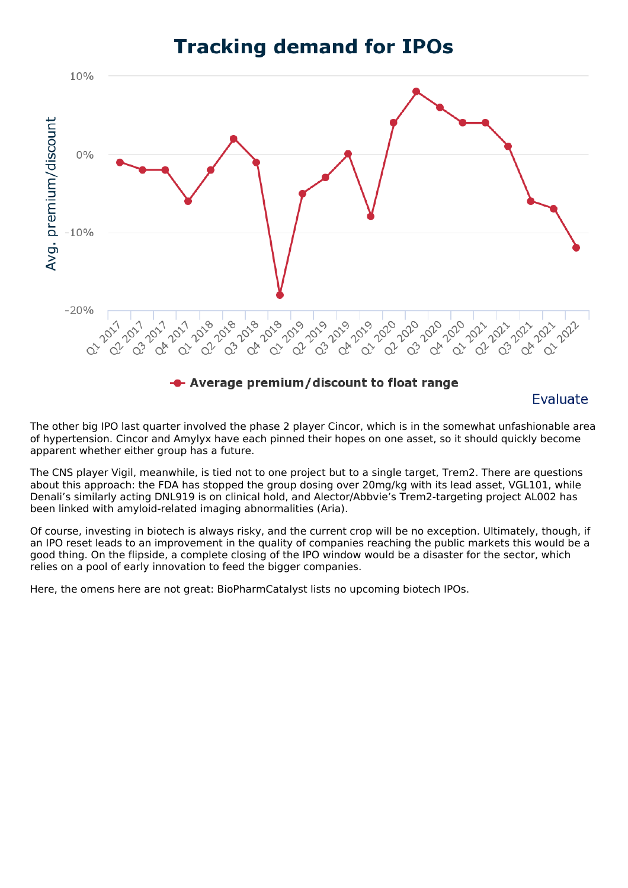### **Tracking demand for IPOs**



**Evaluate** 

The other big IPO last quarter involved the phase 2 player Cincor, which is in the somewhat unfashionable area of hypertension. Cincor and Amylyx have each pinned their hopes on one asset, so it should quickly become apparent whether either group has a future.

The CNS player Vigil, meanwhile, is tied not to one project but to a single target, Trem2. There are questions about this approach: the FDA has stopped the group dosing over 20mg/kg with its lead asset, VGL101, while Denali's similarly acting DNL919 is on clinical hold, and Alector/Abbvie's Trem2-targeting project AL002 has been linked with amyloid-related imaging abnormalities (Aria).

Of course, investing in biotech is always risky, and the current crop will be no exception. Ultimately, though, if an IPO reset leads to an improvement in the quality of companies reaching the public markets this would be a good thing. On the flipside, a complete closing of the IPO window would be a disaster for the sector, which relies on a pool of early innovation to feed the bigger companies.

Here, the omens here are not great: BioPharmCatalyst lists no upcoming biotech IPOs.